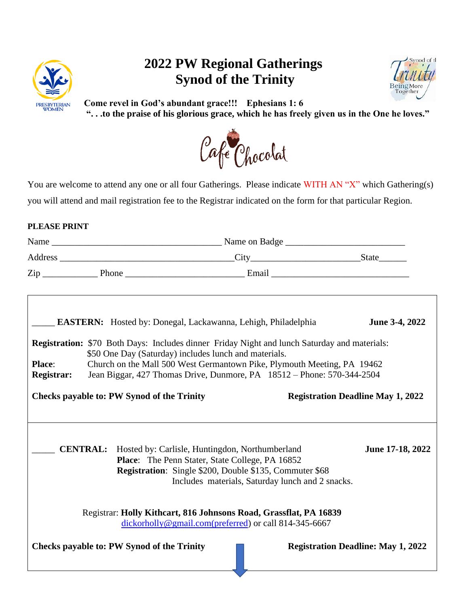

## **2022 PW Regional Gatherings Synod of the Trinity**



**Come revel in God's abundant grace!!! Ephesians 1: 6 ". . .to the praise of his glorious grace, which he has freely given us in the One he loves."** 



You are welcome to attend any one or all four Gatherings. Please indicate WITH AN "X" which Gathering(s) you will attend and mail registration fee to the Registrar indicated on the form for that particular Region.

## **PLEASE PRINT**

|                             |                                                   | <b>EASTERN:</b> Hosted by: Donegal, Lackawanna, Lehigh, Philadelphia                                                                                                                                                                                                                                              | June 3-4, 2022                            |
|-----------------------------|---------------------------------------------------|-------------------------------------------------------------------------------------------------------------------------------------------------------------------------------------------------------------------------------------------------------------------------------------------------------------------|-------------------------------------------|
| Place:<br><b>Registrar:</b> |                                                   | <b>Registration:</b> \$70 Both Days: Includes dinner Friday Night and lunch Saturday and materials:<br>\$50 One Day (Saturday) includes lunch and materials.<br>Church on the Mall 500 West Germantown Pike, Plymouth Meeting, PA 19462<br>Jean Biggar, 427 Thomas Drive, Dunmore, PA 18512 - Phone: 570-344-2504 |                                           |
|                             | <b>Checks payable to: PW Synod of the Trinity</b> |                                                                                                                                                                                                                                                                                                                   | <b>Registration Deadline May 1, 2022</b>  |
|                             |                                                   | <b>CENTRAL:</b> Hosted by: Carlisle, Huntingdon, Northumberland<br><b>Place:</b> The Penn Stater, State College, PA 16852<br><b>Registration:</b> Single \$200, Double \$135, Commuter \$68<br>Includes materials, Saturday lunch and 2 snacks.                                                                   | June 17-18, 2022                          |
|                             |                                                   | Registrar: Holly Kithcart, 816 Johnsons Road, Grassflat, PA 16839<br>dickorholly@gmail.com(preferred) or call 814-345-6667                                                                                                                                                                                        |                                           |
|                             | <b>Checks payable to: PW Synod of the Trinity</b> |                                                                                                                                                                                                                                                                                                                   | <b>Registration Deadline: May 1, 2022</b> |
|                             |                                                   |                                                                                                                                                                                                                                                                                                                   |                                           |